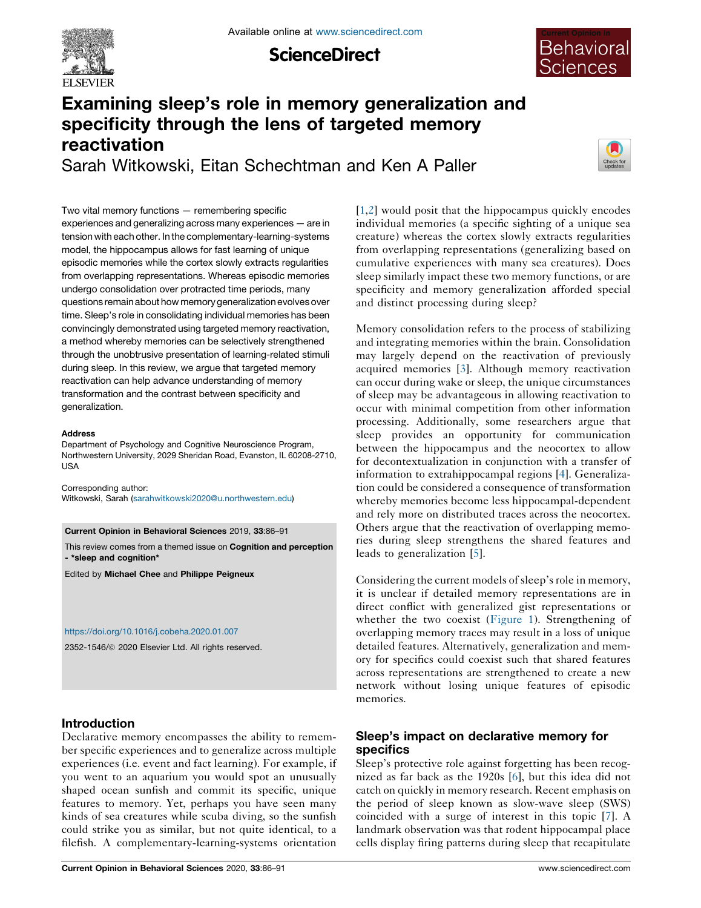

**ScienceDirect** 



# Examining sleep's role in memory generalization and specificity through the lens of targeted memory reactivation Sarah Witkowski, Eitan Schechtman and Ken A Paller



Two vital memory functions — remembering specific experiences and generalizing across many experiences — are in tension with each other. In the complementary-learning-systems model, the hippocampus allows for fast learning of unique episodic memories while the cortex slowly extracts regularities from overlapping representations. Whereas episodic memories undergo consolidation over protracted time periods, many questions remainabouthow memorygeneralizationevolvesover time. Sleep's role in consolidating individual memories has been convincingly demonstrated using targeted memory reactivation, a method whereby memories can be selectively strengthened through the unobtrusive presentation of learning-related stimuli during sleep. In this review, we argue that targeted memory reactivation can help advance understanding of memory transformation and the contrast between specificity and generalization.

#### Address

Department of Psychology and Cognitive Neuroscience Program, Northwestern University, 2029 Sheridan Road, Evanston, IL 60208-2710, USA

Corresponding author: Witkowski, Sarah ([sarahwitkowski2020@u.northwestern.edu](mailto:sarahwitkowski2020@u.northwestern.edu))

Current Opinion in Behavioral Sciences 2019, 33:86–91

This review comes from a themed issue on Cognition and perception - \*sleep and cognition\*

Edited by Michael Chee and Philippe Peigneux

#### <https://doi.org/10.1016/j.cobeha.2020.01.007>

2352-1546/ã 2020 Elsevier Ltd. All rights reserved.

## Introduction

Declarative memory encompasses the ability to remember specific experiences and to generalize across multiple experiences (i.e. event and fact learning). For example, if you went to an aquarium you would spot an unusually shaped ocean sunfish and commit its specific, unique features to memory. Yet, perhaps you have seen many kinds of sea creatures while scuba diving, so the sunfish could strike you as similar, but not quite identical, to a filefish. A complementary-learning-systems orientation

[\[1](#page-4-0),[2\]](#page-4-0) would posit that the hippocampus quickly encodes individual memories (a specific sighting of a unique sea creature) whereas the cortex slowly extracts regularities from overlapping representations (generalizing based on cumulative experiences with many sea creatures). Does sleep similarly impact these two memory functions, or are specificity and memory generalization afforded special and distinct processing during sleep?

Memory consolidation refers to the process of stabilizing and integrating memories within the brain. Consolidation may largely depend on the reactivation of previously acquired memories [\[3](#page-4-0)]. Although memory reactivation can occur during wake or sleep, the unique circumstances of sleep may be advantageous in allowing reactivation to occur with minimal competition from other information processing. Additionally, some researchers argue that sleep provides an opportunity for communication between the hippocampus and the neocortex to allow for decontextualization in conjunction with a transfer of information to extrahippocampal regions [[4\]](#page-4-0). Generalization could be considered a consequence of transformation whereby memories become less hippocampal-dependent and rely more on distributed traces across the neocortex. Others argue that the reactivation of overlapping memories during sleep strengthens the shared features and leads to generalization [[5\]](#page-4-0).

Considering the current models of sleep's role in memory, it is unclear if detailed memory representations are in direct conflict with generalized gist representations or whether the two coexist [\(Figure](#page-1-0) 1). Strengthening of overlapping memory traces may result in a loss of unique detailed features. Alternatively, generalization and memory for specifics could coexist such that shared features across representations are strengthened to create a new network without losing unique features of episodic memories.

# Sleep's impact on declarative memory for specifics

Sleep's protective role against forgetting has been recognized as far back as the 1920s [[6\]](#page-4-0), but this idea did not catch on quickly in memory research. Recent emphasis on the period of sleep known as slow-wave sleep (SWS) coincided with a surge of interest in this topic [\[7](#page-4-0)]. A landmark observation was that rodent hippocampal place cells display firing patterns during sleep that recapitulate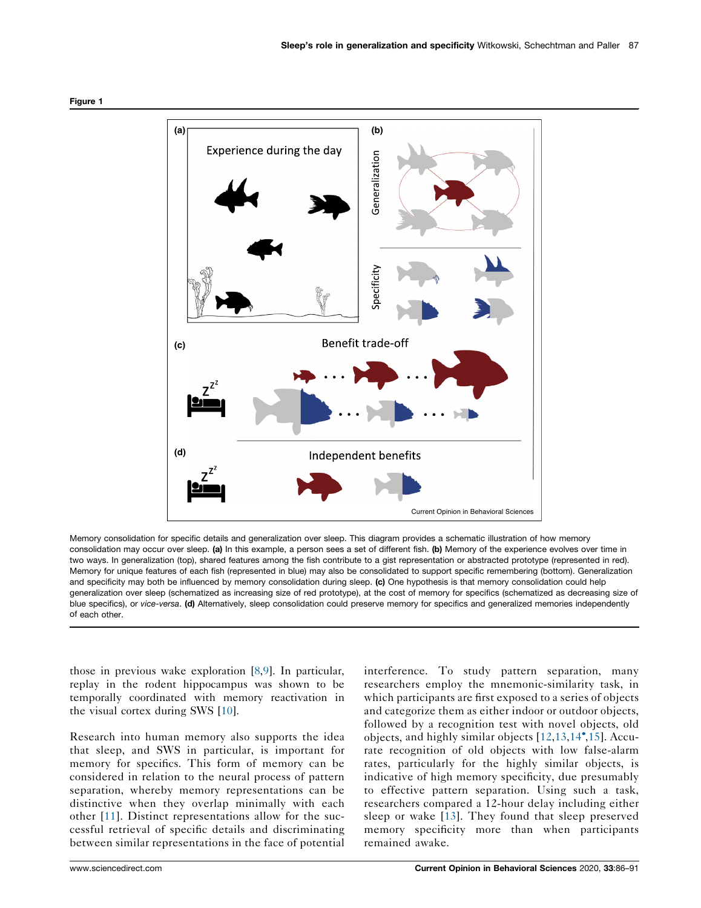

<span id="page-1-0"></span>Figure 1

Memory consolidation for specific details and generalization over sleep. This diagram provides a schematic illustration of how memory consolidation may occur over sleep. (a) In this example, a person sees a set of different fish. (b) Memory of the experience evolves over time in two ways. In generalization (top), shared features among the fish contribute to a gist representation or abstracted prototype (represented in red). Memory for unique features of each fish (represented in blue) may also be consolidated to support specific remembering (bottom). Generalization and specificity may both be influenced by memory consolidation during sleep. (c) One hypothesis is that memory consolidation could help generalization over sleep (schematized as increasing size of red prototype), at the cost of memory for specifics (schematized as decreasing size of blue specifics), or vice-versa. (d) Alternatively, sleep consolidation could preserve memory for specifics and generalized memories independently of each other.

those in previous wake exploration [\[8](#page-4-0),[9\]](#page-4-0). In particular, replay in the rodent hippocampus was shown to be temporally coordinated with memory reactivation in the visual cortex during SWS [\[10](#page-4-0)].

Research into human memory also supports the idea that sleep, and SWS in particular, is important for memory for specifics. This form of memory can be considered in relation to the neural process of pattern separation, whereby memory representations can be distinctive when they overlap minimally with each other [\[11\]](#page-4-0). Distinct representations allow for the successful retrieval of specific details and discriminating between similar representations in the face of potential

interference. To study pattern separation, many researchers employ the mnemonic-similarity task, in which participants are first exposed to a series of objects and categorize them as either indoor or outdoor objects, followed by a recognition test with novel objects, old objects, and highly similar objects [[12](#page-4-0),[13](#page-4-0),[14](#page-4-0) [,15\]](#page-4-0). Accurate recognition of old objects with low false-alarm rates, particularly for the highly similar objects, is indicative of high memory specificity, due presumably to effective pattern separation. Using such a task, researchers compared a 12-hour delay including either sleep or wake [[13\]](#page-4-0). They found that sleep preserved memory specificity more than when participants remained awake.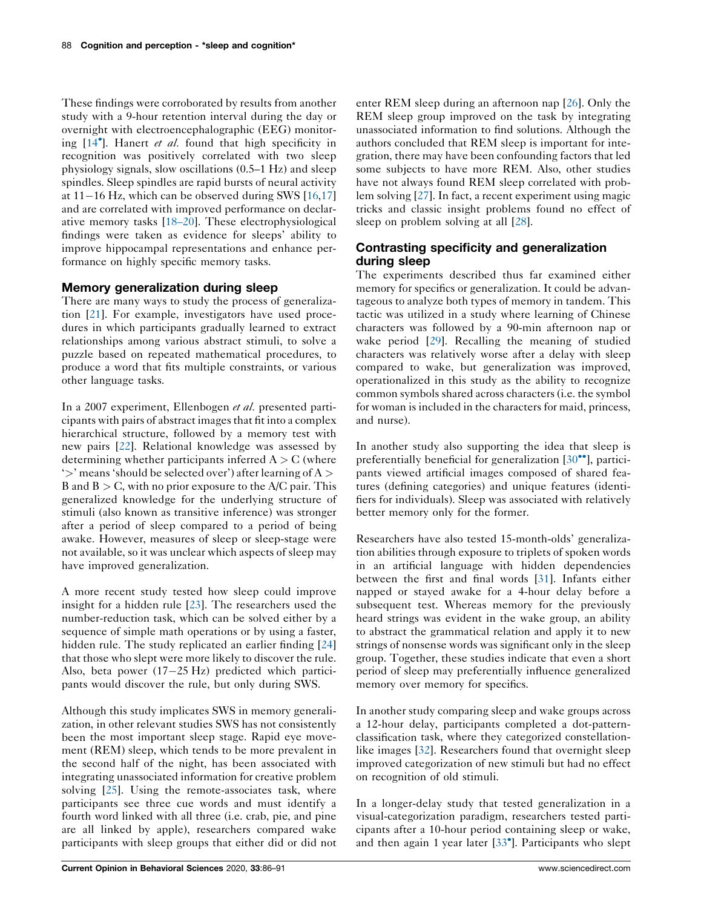These findings were corroborated by results from another study with a 9-hour retention interval during the day or overnight with electroencephalographic (EEG) monitor-ing [[14](#page-4-0)<sup>°</sup>]. Hanert et al. found that high specificity in recognition was positively correlated with two sleep physiology signals, slow oscillations (0.5–1 Hz) and sleep spindles. Sleep spindles are rapid bursts of neural activity at  $11-16$  Hz, which can be observed during SWS  $[16,17]$  $[16,17]$  $[16,17]$ and are correlated with improved performance on declarative memory tasks [[18–20\]](#page-4-0). These electrophysiological findings were taken as evidence for sleeps' ability to improve hippocampal representations and enhance performance on highly specific memory tasks.

## Memory generalization during sleep

There are many ways to study the process of generalization [\[21](#page-4-0)]. For example, investigators have used procedures in which participants gradually learned to extract relationships among various abstract stimuli, to solve a puzzle based on repeated mathematical procedures, to produce a word that fits multiple constraints, or various other language tasks.

In a 2007 experiment, Ellenbogen et al. presented participants with pairs of abstract imagesthat fit into a complex hierarchical structure, followed by a memory test with new pairs [\[22](#page-4-0)]. Relational knowledge was assessed by determining whether participants inferred  $A > C$  (where ' $>$ ' means 'should be selected over') after learning of A  $>$ B and  $B > C$ , with no prior exposure to the A/C pair. This generalized knowledge for the underlying structure of stimuli (also known as transitive inference) was stronger after a period of sleep compared to a period of being awake. However, measures of sleep or sleep-stage were not available, so it was unclear which aspects of sleep may have improved generalization.

A more recent study tested how sleep could improve insight for a hidden rule [[23\]](#page-4-0). The researchers used the number-reduction task, which can be solved either by a sequence of simple math operations or by using a faster, hidden rule. The study replicated an earlier finding [[24\]](#page-4-0) that those who slept were more likely to discover the rule. Also, beta power  $(17-25 \text{ Hz})$  predicted which participants would discover the rule, but only during SWS.

Although this study implicates SWS in memory generalization, in other relevant studies SWS has not consistently been the most important sleep stage. Rapid eye movement (REM) sleep, which tends to be more prevalent in the second half of the night, has been associated with integrating unassociated information for creative problem solving [[25\]](#page-4-0). Using the remote-associates task, where participants see three cue words and must identify a fourth word linked with all three (i.e. crab, pie, and pine are all linked by apple), researchers compared wake participants with sleep groups that either did or did not

enter REM sleep during an afternoon nap [\[26](#page-4-0)]. Only the REM sleep group improved on the task by integrating unassociated information to find solutions. Although the authors concluded that REM sleep is important for integration, there may have been confounding factors that led some subjects to have more REM. Also, other studies have not always found REM sleep correlated with problem solving [[27\]](#page-5-0). In fact, a recent experiment using magic tricks and classic insight problems found no effect of sleep on problem solving at all [\[28](#page-5-0)].

# Contrasting specificity and generalization during sleep

The experiments described thus far examined either memory for specifics or generalization. It could be advantageous to analyze both types of memory in tandem. This tactic was utilized in a study where learning of Chinese characters was followed by a 90-min afternoon nap or wake period [[29\]](#page-5-0). Recalling the meaning of studied characters was relatively worse after a delay with sleep compared to wake, but generalization was improved, operationalized in this study as the ability to recognize common symbols shared across characters (i.e. the symbol for woman is included in the characters for maid, princess, and nurse).

In another study also supporting the idea that sleep is preferentially beneficial for generalization  $[30\degree]$ , [partici](#page-5-0)pants viewed artificial images composed of shared features (defining categories) and unique features (identifiers for individuals). Sleep was associated with relatively better memory only for the former.

Researchers have also tested 15-month-olds' generalization abilities through exposure to triplets of spoken words in an artificial language with hidden dependencies between the first and final words [\[31](#page-5-0)]. Infants either napped or stayed awake for a 4-hour delay before a subsequent test. Whereas memory for the previously heard strings was evident in the wake group, an ability to abstract the grammatical relation and apply it to new strings of nonsense words was significant only in the sleep group. Together, these studies indicate that even a short period of sleep may preferentially influence generalized memory over memory for specifics.

In another study comparing sleep and wake groups across a 12-hour delay, participants completed a dot-patternclassification task, where they categorized constellation-like images [[32\]](#page-5-0). Researchers found that overnight sleep improved categorization of new stimuli but had no effect on recognition of old stimuli.

In a longer-delay study that tested generalization in a visual-categorization paradigm, researchers tested participants after a 10-hour period containing sleep or wake, and then again 1 year later [\[33](#page-5-0) ]. Participants who slept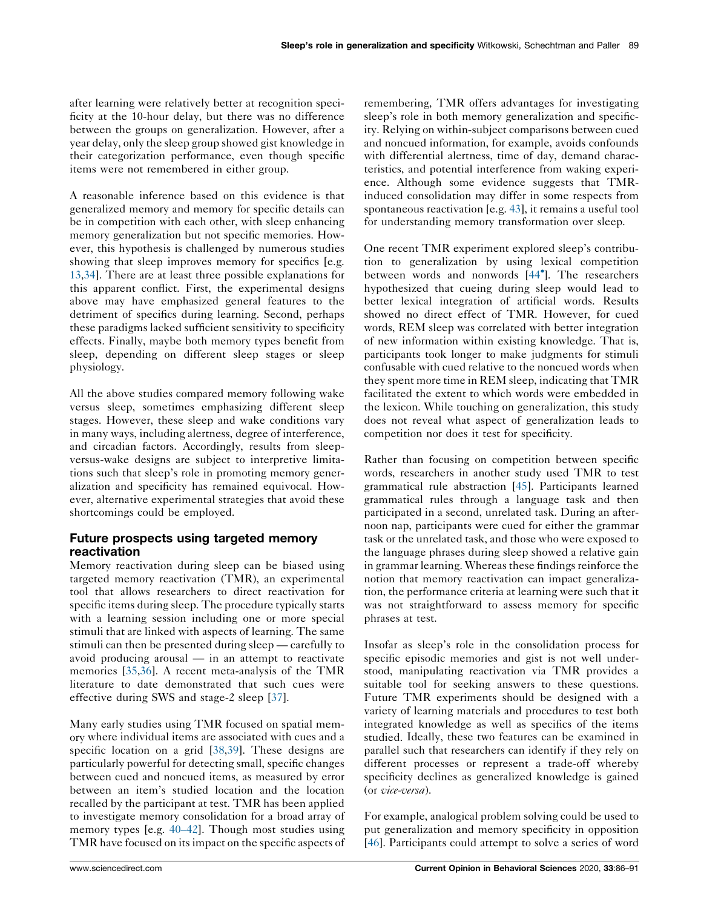after learning were relatively better at recognition specificity at the 10-hour delay, but there was no difference between the groups on generalization. However, after a year delay, only the sleep group showed gist knowledge in their categorization performance, even though specific items were not remembered in either group.

A reasonable inference based on this evidence is that generalized memory and memory for specific details can be in competition with each other, with sleep enhancing memory generalization but not specific memories. However, this hypothesis is challenged by numerous studies showing that sleep improves memory for specifics [e.g. [13](#page-4-0)[,34](#page-5-0)]. There are at least three possible explanations for this apparent conflict. First, the experimental designs above may have emphasized general features to the detriment of specifics during learning. Second, perhaps these paradigms lacked sufficient sensitivity to specificity effects. Finally, maybe both memory types benefit from sleep, depending on different sleep stages or sleep physiology.

All the above studies compared memory following wake versus sleep, sometimes emphasizing different sleep stages. However, these sleep and wake conditions vary in many ways, including alertness, degree of interference, and circadian factors. Accordingly, results from sleepversus-wake designs are subject to interpretive limitations such that sleep's role in promoting memory generalization and specificity has remained equivocal. However, alternative experimental strategies that avoid these shortcomings could be employed.

# Future prospects using targeted memory reactivation

Memory reactivation during sleep can be biased using targeted memory reactivation (TMR), an experimental tool that allows researchers to direct reactivation for specific items during sleep. The procedure typically starts with a learning session including one or more special stimuli that are linked with aspects of learning. The same stimuli can then be presented during sleep — carefully to avoid producing arousal — in an attempt to reactivate memories [\[35](#page-5-0),[36\]](#page-5-0). A recent meta-analysis of the TMR literature to date demonstrated that such cues were effective during SWS and stage-2 sleep [\[37](#page-5-0)].

Many early studies using TMR focused on spatial memory where individual items are associated with cues and a specific location on a grid [\[38](#page-5-0),[39\]](#page-5-0). These designs are particularly powerful for detecting small, specific changes between cued and noncued items, as measured by error between an item's studied location and the location recalled by the participant at test. TMR has been applied to investigate memory consolidation for a broad array of memory types [e.g. [40–42](#page-5-0)]. Though most studies using TMR have focused on its impact on the specific aspects of remembering, TMR offers advantages for investigating sleep's role in both memory generalization and specificity. Relying on within-subject comparisons between cued and noncued information, for example, avoids confounds with differential alertness, time of day, demand characteristics, and potential interference from waking experience. Although some evidence suggests that TMRinduced consolidation may differ in some respects from spontaneous reactivation [e.g. [43](#page-5-0)], it remains a useful tool for understanding memory transformation over sleep.

One recent TMR experiment explored sleep's contribution to generalization by using lexical competition between words and nonwords [\[44](#page-5-0) ]. The researchers hypothesized that cueing during sleep would lead to better lexical integration of artificial words. Results showed no direct effect of TMR. However, for cued words, REM sleep was correlated with better integration of new information within existing knowledge. That is, participants took longer to make judgments for stimuli confusable with cued relative to the noncued words when they spent more time in REM sleep, indicating that TMR facilitated the extent to which words were embedded in the lexicon. While touching on generalization, this study does not reveal what aspect of generalization leads to competition nor does it test for specificity.

Rather than focusing on competition between specific words, researchers in another study used TMR to test grammatical rule abstraction [[45\]](#page-5-0). Participants learned grammatical rules through a language task and then participated in a second, unrelated task. During an afternoon nap, participants were cued for either the grammar task or the unrelated task, and those who were exposed to the language phrases during sleep showed a relative gain in grammar learning. Whereas these findings reinforce the notion that memory reactivation can impact generalization, the performance criteria at learning were such that it was not straightforward to assess memory for specific phrases at test.

Insofar as sleep's role in the consolidation process for specific episodic memories and gist is not well understood, manipulating reactivation via TMR provides a suitable tool for seeking answers to these questions. Future TMR experiments should be designed with a variety of learning materials and procedures to test both integrated knowledge as well as specifics of the items studied. Ideally, these two features can be examined in parallel such that researchers can identify if they rely on different processes or represent a trade-off whereby specificity declines as generalized knowledge is gained (or vice-versa).

For example, analogical problem solving could be used to put generalization and memory specificity in opposition [[46](#page-5-0)]. Participants could attempt to solve a series of word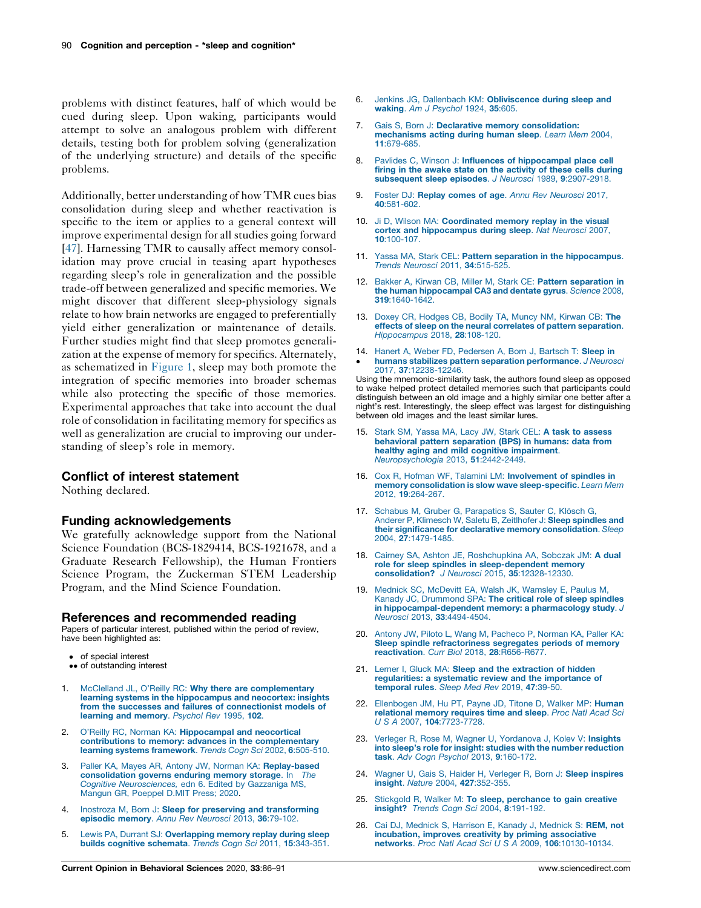<span id="page-4-0"></span>problems with distinct features, half of which would be cued during sleep. Upon waking, participants would attempt to solve an analogous problem with different details, testing both for problem solving (generalization of the underlying structure) and details of the specific problems.

Additionally, better understanding of how TMR cues bias consolidation during sleep and whether reactivation is specific to the item or applies to a general context will improve experimental design for all studies going forward [\[47](#page-5-0)]. Harnessing TMR to causally affect memory consolidation may prove crucial in teasing apart hypotheses regarding sleep's role in generalization and the possible trade-off between generalized and specific memories. We might discover that different sleep-physiology signals relate to how brain networks are engaged to preferentially yield either generalization or maintenance of details. Further studies might find that sleep promotes generalization at the expense of memory for specifics. Alternately, as schematized in [Figure](#page-1-0) 1, sleep may both promote the integration of specific memories into broader schemas while also protecting the specific of those memories. Experimental approaches that take into account the dual role of consolidation in facilitating memory for specifics as well as generalization are crucial to improving our understanding of sleep's role in memory.

### Conflict of interest statement

Nothing declared.

#### Funding acknowledgements

We gratefully acknowledge support from the National Science Foundation (BCS-1829414, BCS-1921678, and a Graduate Research Fellowship), the Human Frontiers Science Program, the Zuckerman STEM Leadership Program, and the Mind Science Foundation.

#### References and recommended reading

Papers of particular interest, published within the period of review, have been highlighted as:

- of special interest
- •• of outstanding interest
- 1. McClelland JL, O'Reilly RC: Why there are [complementary](http://refhub.elsevier.com/S2352-1546(20)30007-3/sbref0005) learning systems in the [hippocampus](http://refhub.elsevier.com/S2352-1546(20)30007-3/sbref0005) and neocortex: insights from the successes and failures of [connectionist](http://refhub.elsevier.com/S2352-1546(20)30007-3/sbref0005) models of learning and [memory](http://refhub.elsevier.com/S2352-1546(20)30007-3/sbref0005). Psychol Rev 1995, 102.
- 2. O'Reilly RC, Norman KA: [Hippocampal](http://refhub.elsevier.com/S2352-1546(20)30007-3/sbref0010) and neocortical contributions to memory: advances in the [complementary](http://refhub.elsevier.com/S2352-1546(20)30007-3/sbref0010) learning systems [framework](http://refhub.elsevier.com/S2352-1546(20)30007-3/sbref0010). Trends Cogn Sci 2002, 6:505-510.
- 3. Paller KA, Mayes AR, Antony JW, Norman KA: [Replay-based](http://refhub.elsevier.com/S2352-1546(20)30007-3/sbref0015) [consolidation](http://refhub.elsevier.com/S2352-1546(20)30007-3/sbref0015) governs enduring memory storage. In The<br>Cognitive [Neurosciences,](http://refhub.elsevier.com/S2352-1546(20)30007-3/sbref0015) edn 6. Edited by Gazzaniga MS, Mangun GR, [Poeppel](http://refhub.elsevier.com/S2352-1546(20)30007-3/sbref0015) D.MIT Press; 2020.
- Inostroza M, Born J: Sleep for preserving and [transforming](http://refhub.elsevier.com/S2352-1546(20)30007-3/sbref0020) [episodic](http://refhub.elsevier.com/S2352-1546(20)30007-3/sbref0020) memory. Annu Rev Neurosci 2013, 36:79-102.
- 5. Lewis PA, Durrant SJ: [Overlapping](http://refhub.elsevier.com/S2352-1546(20)30007-3/sbref0025) memory replay during sleep builds cognitive [schemata](http://refhub.elsevier.com/S2352-1546(20)30007-3/sbref0025). Trends Cogn Sci 2011, 15:343-351.
- 6. Jenkins JG, Dallenbach KM: [Obliviscence](http://refhub.elsevier.com/S2352-1546(20)30007-3/sbref0030) during sleep and waking. Am J [Psychol](http://refhub.elsevier.com/S2352-1546(20)30007-3/sbref0030) 1924, **35:**605.
- 7. Gais S, Born J: Declarative memory [consolidation:](http://refhub.elsevier.com/S2352-1546(20)30007-3/sbref0035) [mechanisms](http://refhub.elsevier.com/S2352-1546(20)30007-3/sbref0035) acting during human sleep. Learn Mem 2004, 11[:679-685.](http://refhub.elsevier.com/S2352-1546(20)30007-3/sbref0035)
- 8. Pavlides C, Winson J: Influences of [hippocampal](http://refhub.elsevier.com/S2352-1546(20)30007-3/sbref0040) place cell firing in the awake state on the [activity](http://refhub.elsevier.com/S2352-1546(20)30007-3/sbref0040) of these cells during [subsequent](http://refhub.elsevier.com/S2352-1546(20)30007-3/sbref0040) sleep episodes. J Neurosci 1989, 9:2907-2918.
- 9. Foster DJ: Replay comes of age. Annu Rev [Neurosci](http://refhub.elsevier.com/S2352-1546(20)30007-3/sbref0045) 2017. 40[:581-602.](http://refhub.elsevier.com/S2352-1546(20)30007-3/sbref0045)
- 10. Ji D. Wilson MA: [Coordinated](http://refhub.elsevier.com/S2352-1546(20)30007-3/sbref0050) memory replay in the visual cortex and [hippocampus](http://refhub.elsevier.com/S2352-1546(20)30007-3/sbref0050) during sleep. Nat Neurosci 2007, 10[:100-107.](http://refhub.elsevier.com/S2352-1546(20)30007-3/sbref0050)
- 11. Yassa MA, Stark CEL: Pattern separation in the [hippocampus](http://refhub.elsevier.com/S2352-1546(20)30007-3/sbref0055). Trends Neurosci 2011, 34[:515-525.](http://refhub.elsevier.com/S2352-1546(20)30007-3/sbref0055)
- 12. Bakker A, Kirwan CB, Miller M, Stark CE: Pattern [separation](http://refhub.elsevier.com/S2352-1546(20)30007-3/sbref0060) in the human [hippocampal](http://refhub.elsevier.com/S2352-1546(20)30007-3/sbref0060) CA3 and dentate gyrus. Science 2008, 319[:1640-1642.](http://refhub.elsevier.com/S2352-1546(20)30007-3/sbref0060)
- 13. Doxey CR, [Hodges](http://refhub.elsevier.com/S2352-1546(20)30007-3/sbref0065) CB, Bodily TA, Muncy NM, Kirwan CB: The effects of sleep on the neural correlates of pattern [separation](http://refhub.elsevier.com/S2352-1546(20)30007-3/sbref0065). [Hippocampus](http://refhub.elsevier.com/S2352-1546(20)30007-3/sbref0065) 2018, 28:108-120.
- 14. Hanert A, Weber FD, [Pedersen](http://refhub.elsevier.com/S2352-1546(20)30007-3/sbref0070) A, Born J, Bartsch T: Sleep in  $\cdot$ humans stabilizes pattern separation [performance](http://refhub.elsevier.com/S2352-1546(20)30007-3/sbref0070). J Neurosci 2017, 37[:12238-12246.](http://refhub.elsevier.com/S2352-1546(20)30007-3/sbref0070)

Using the mnemonic-similarity task, the authors found sleep as opposed to wake helped protect detailed memories such that participants could distinguish between an old image and a highly similar one better after a night's rest. Interestingly, the sleep effect was largest for distinguishing between old images and the least similar lures.

- Stark SM, Yassa MA, Lacy JW, Stark CEL: A task to [assess](http://refhub.elsevier.com/S2352-1546(20)30007-3/sbref0075) behavioral pattern [separation](http://refhub.elsevier.com/S2352-1546(20)30007-3/sbref0075) (BPS) in humans: data from healthy aging and mild cognitive [impairment](http://refhub.elsevier.com/S2352-1546(20)30007-3/sbref0075). [Neuropsychologia](http://refhub.elsevier.com/S2352-1546(20)30007-3/sbref0075) 2013, 51:2442-2449.
- 16. Cox R, Hofman WF, Talamini LM: [Involvement](http://refhub.elsevier.com/S2352-1546(20)30007-3/sbref0080) of spindles in memory consolidation is slow wave [sleep-specific](http://refhub.elsevier.com/S2352-1546(20)30007-3/sbref0080). Learn Mem 2012, 19[:264-267.](http://refhub.elsevier.com/S2352-1546(20)30007-3/sbref0080)
- 17. Schabus M, Gruber G, [Parapatics](http://refhub.elsevier.com/S2352-1546(20)30007-3/sbref0085) S, Sauter C, Klösch G, Anderer P, Klimesch W, Saletu B, [Zeitlhofer](http://refhub.elsevier.com/S2352-1546(20)30007-3/sbref0085) J: Sleep spindles and their significance for declarative memory [consolidation](http://refhub.elsevier.com/S2352-1546(20)30007-3/sbref0085). Sleep 2004, 27[:1479-1485.](http://refhub.elsevier.com/S2352-1546(20)30007-3/sbref0085)
- 18. Cairney SA, Ashton JE, [Roshchupkina](http://refhub.elsevier.com/S2352-1546(20)30007-3/sbref0090) AA, Sobczak JM: A dual role for sleep spindles in [sleep-dependent](http://refhub.elsevier.com/S2352-1546(20)30007-3/sbref0090) memory [consolidation?](http://refhub.elsevier.com/S2352-1546(20)30007-3/sbref0090) J Neurosci 2015, 35:12328-12330.
- 19. Mednick SC, McDevitt EA, Walsh JK, [Wamsley](http://refhub.elsevier.com/S2352-1546(20)30007-3/sbref0095) E, Paulus M, Kanady JC, [Drummond](http://refhub.elsevier.com/S2352-1546(20)30007-3/sbref0095) SPA: The critical role of sleep spindles in [hippocampal-dependent](http://refhub.elsevier.com/S2352-1546(20)30007-3/sbref0095) memory: a pharmacology study. J Neurosci 2013, 33[:4494-4504.](http://refhub.elsevier.com/S2352-1546(20)30007-3/sbref0095)
- 20. Antony JW, Piloto L, Wang M, [Pacheco](http://refhub.elsevier.com/S2352-1546(20)30007-3/sbref0100) P, Norman KA, Paller KA: Sleep spindle [refractoriness](http://refhub.elsevier.com/S2352-1546(20)30007-3/sbref0100) segregates periods of memory reactivation. Curr Biol 2018, 28:R656-R677
- 21. Lerner I, Gluck MA: Sleep and the [extraction](http://refhub.elsevier.com/S2352-1546(20)30007-3/sbref0105) of hidden [regularities:](http://refhub.elsevier.com/S2352-1546(20)30007-3/sbref0105) a systematic review and the importance of [temporal](http://refhub.elsevier.com/S2352-1546(20)30007-3/sbref0105) rules. Sleep Med Rev 2019, 47:39-50.
- 22. [Ellenbogen](http://refhub.elsevier.com/S2352-1546(20)30007-3/sbref0110) JM, Hu PT, Payne JD, Titone D, Walker MP: Human [relational](http://refhub.elsevier.com/S2352-1546(20)30007-3/sbref0110) memory requires time and sleep. Proc Natl Acad Sci U S A 2007, 104[:7723-7728.](http://refhub.elsevier.com/S2352-1546(20)30007-3/sbref0110)
- 23. Verleger R, Rose M, Wagner U, [Yordanova](http://refhub.elsevier.com/S2352-1546(20)30007-3/sbref0115) J, Kolev V: Insights into sleep's role for insight: studies with the number [reduction](http://refhub.elsevier.com/S2352-1546(20)30007-3/sbref0115) task. Adv Cogn Psychol 2013, 9[:160-172.](http://refhub.elsevier.com/S2352-1546(20)30007-3/sbref0115)
- 24. Wagner U, Gais S, Haider H, Verleger R, Born J: Sleep [inspires](http://refhub.elsevier.com/S2352-1546(20)30007-3/sbref0120) insight. Nature 2004, 427[:352-355.](http://refhub.elsevier.com/S2352-1546(20)30007-3/sbref0120)
- 25. Stickgold R, Walker M: To sleep, [perchance](http://refhub.elsevier.com/S2352-1546(20)30007-3/sbref0125) to gain creative insight? Trends Cogn Sci 2004, 8[:191-192.](http://refhub.elsevier.com/S2352-1546(20)30007-3/sbref0125)
- 26. Cai DJ, [Mednick](http://refhub.elsevier.com/S2352-1546(20)30007-3/sbref0130) S, Harrison E, Kanady J, Mednick S: REM, not incubation, improves creativity by priming [associative](http://refhub.elsevier.com/S2352-1546(20)30007-3/sbref0130)<br>networks. Proc Natl Acad Sci U S A 2009, 106[:10130-10134.](http://refhub.elsevier.com/S2352-1546(20)30007-3/sbref0130)